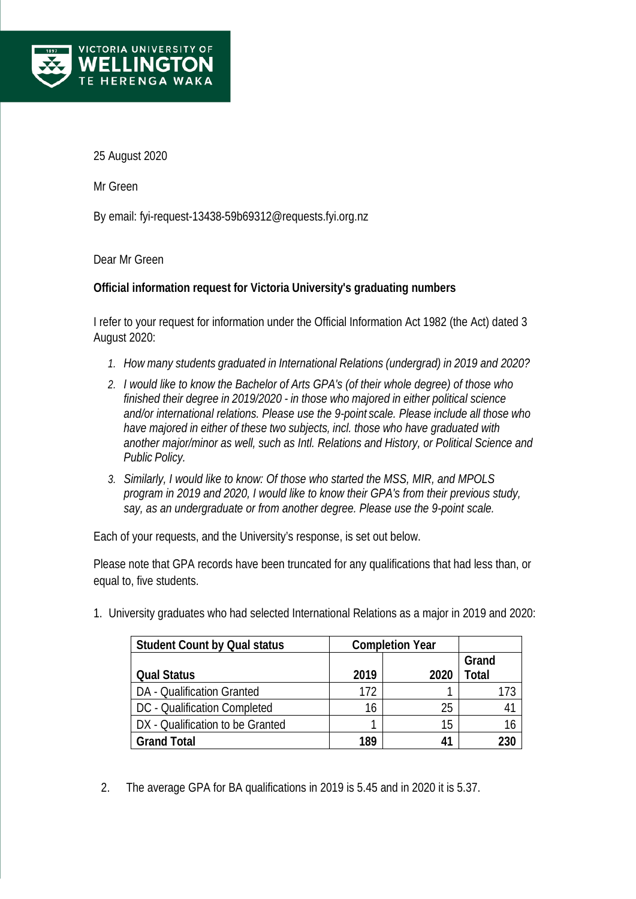

25 August 2020

Mr Green

By email: [fyi-request-13438-59b69312@requests.fyi.org.nz](mailto:xxxxxxxxxxxxxxxxxxxxxxxxxx@xxxxxxxx.xxx.xxx.xx)

Dear Mr Green

## **Official information request for Victoria University's graduating numbers**

I refer to your request for information under the Official Information Act 1982 (the Act) dated 3 August 2020:

- *1. How many students graduated in International Relations (undergrad) in 2019 and 2020?*
- *2. I would like to know the Bachelor of Arts GPA's (of their whole degree) of those who finished their degree in 2019/2020 - in those who majored in either political science and/or international relations. Please use the 9-point scale. Please include all those who have majored in either of these two subjects, incl. those who have graduated with another major/minor as well, such as Intl. Relations and History, or Political Science and Public Policy.*
- *3. Similarly, I would like to know: Of those who started the MSS, MIR, and MPOLS program in 2019 and 2020, I would like to know their GPA's from their previous study, say, as an undergraduate or from another degree. Please use the 9-point scale.*

Each of your requests, and the University's response, is set out below.

Please note that GPA records have been truncated for any qualifications that had less than, or equal to, five students.

1. University graduates who had selected International Relations as a major in 2019 and 2020:

| <b>Student Count by Qual status</b> | <b>Completion Year</b> |      |       |
|-------------------------------------|------------------------|------|-------|
|                                     |                        |      | Grand |
| <b>Qual Status</b>                  | 2019                   | 2020 | Total |
| DA - Qualification Granted          | 172                    |      |       |
| DC - Qualification Completed        | 16                     | 25   |       |
| DX - Qualification to be Granted    |                        | 15   |       |
| <b>Grand Total</b>                  | 189                    |      |       |

2. The average GPA for BA qualifications in 2019 is 5.45 and in 2020 it is 5.37.